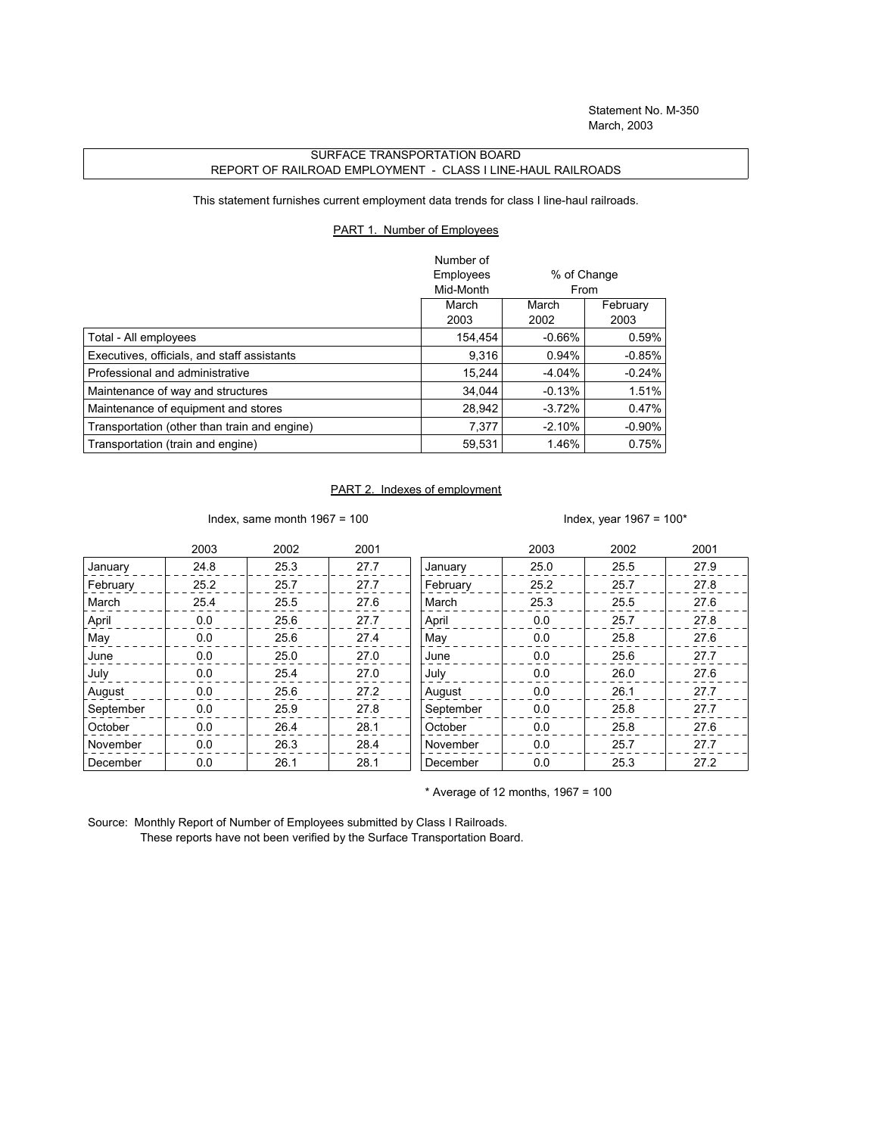## SURFACE TRANSPORTATION BOARD REPORT OF RAILROAD EMPLOYMENT - CLASS I LINE-HAUL RAILROADS

This statement furnishes current employment data trends for class I line-haul railroads.

## PART 1. Number of Employees

|                                              | Number of |             |          |
|----------------------------------------------|-----------|-------------|----------|
|                                              | Employees | % of Change |          |
|                                              | Mid-Month | From        |          |
|                                              | March     | March       | February |
|                                              | 2003      | 2002        | 2003     |
| Total - All employees                        | 154.454   | $-0.66%$    | 0.59%    |
| Executives, officials, and staff assistants  | 9,316     | 0.94%       | $-0.85%$ |
| Professional and administrative              | 15.244    | $-4.04%$    | $-0.24%$ |
| Maintenance of way and structures            | 34.044    | $-0.13%$    | 1.51%    |
| Maintenance of equipment and stores          | 28,942    | $-3.72%$    | 0.47%    |
| Transportation (other than train and engine) | 7,377     | $-2.10%$    | $-0.90%$ |
| Transportation (train and engine)            | 59.531    | 1.46%       | 0.75%    |

## PART 2. Indexes of employment

Index, same month 1967 = 100  $\blacksquare$ 

|           | 2003 | 2002 | 2001 |           | 2003 | 2002 | 2001 |
|-----------|------|------|------|-----------|------|------|------|
| January   | 24.8 | 25.3 | 27.7 | January   | 25.0 | 25.5 | 27.9 |
| February  | 25.2 | 25.7 | 27.7 | February  | 25.2 | 25.7 | 27.8 |
| March     | 25.4 | 25.5 | 27.6 | March     | 25.3 | 25.5 | 27.6 |
| April     | 0.0  | 25.6 | 27.7 | April     | 0.0  | 25.7 | 27.8 |
| May       | 0.0  | 25.6 | 27.4 | May       | 0.0  | 25.8 | 27.6 |
| June      | 0.0  | 25.0 | 27.0 | June      | 0.0  | 25.6 | 27.7 |
| July      | 0.0  | 25.4 | 27.0 | July      | 0.0  | 26.0 | 27.6 |
| August    | 0.0  | 25.6 | 27.2 | August    | 0.0  | 26.1 | 27.7 |
| September | 0.0  | 25.9 | 27.8 | September | 0.0  | 25.8 | 27.7 |
| October   | 0.0  | 26.4 | 28.1 | October   | 0.0  | 25.8 | 27.6 |
| November  | 0.0  | 26.3 | 28.4 | November  | 0.0  | 25.7 | 27.7 |
| December  | 0.0  | 26.1 | 28.1 | December  | 0.0  | 25.3 | 27.2 |

 $*$  Average of 12 months, 1967 = 100

Source: Monthly Report of Number of Employees submitted by Class I Railroads. These reports have not been verified by the Surface Transportation Board.